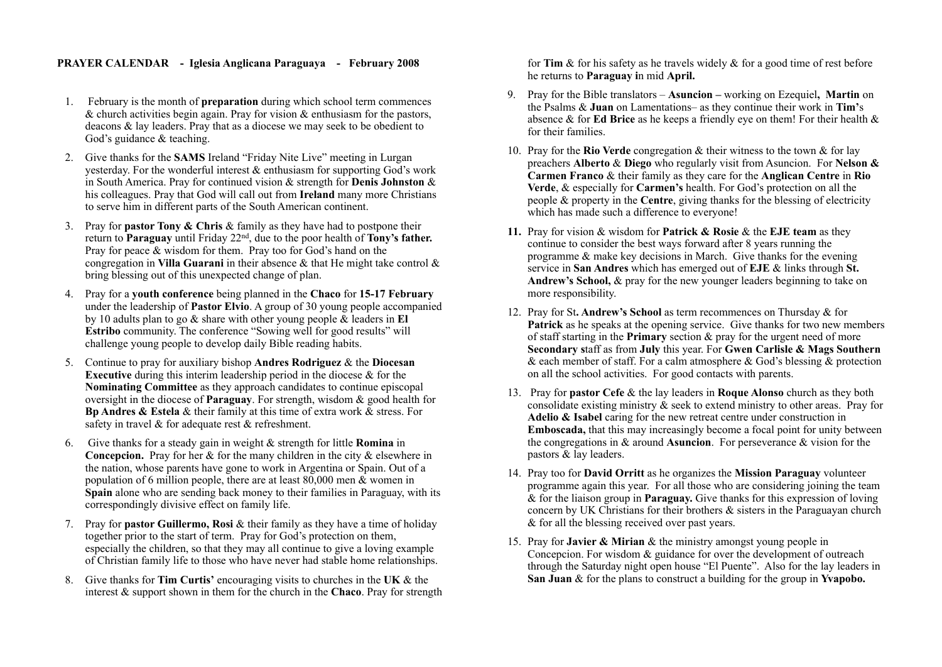## **PRAYER CALENDAR - Iglesia Anglicana Paraguaya - February 2008**

- 1. February is the month of **preparation** during which school term commences  $\&$  church activities begin again. Pray for vision  $\&$  enthusiasm for the pastors, deacons & lay leaders. Pray that as a diocese we may seek to be obedient to God's guidance & teaching.
- 2. Give thanks for the **SAMS** Ireland "Friday Nite Live" meeting in Lurgan yesterday. For the wonderful interest & enthusiasm for supporting God's work in South America. Pray for continued vision & strength for **Denis Johnston** & his colleagues. Pray that God will call out from **Ireland** many more Christians to serve him in different parts of the South American continent.
- 3. Pray for **pastor Tony & Chris** & family as they have had to postpone their return to **Paraguay** until Friday 22nd, due to the poor health of **Tony's father.** Pray for peace  $\&$  wisdom for them. Pray too for God's hand on the congregation in **Villa Guarani** in their absence & that He might take control & bring blessing out of this unexpected change of plan.
- 4. Pray for a **youth conference** being planned in the **Chaco** for **15-17 February** under the leadership of **Pastor Elvio**. A group of 30 young people accompanied by 10 adults plan to go & share with other young people & leaders in **El Estribo** community. The conference "Sowing well for good results" will challenge young people to develop daily Bible reading habits.
- 5. Continue to pray for auxiliary bishop **Andres Rodriguez** & the **Diocesan Executive** during this interim leadership period in the diocese  $\&$  for the **Nominating Committee** as they approach candidates to continue episcopal oversight in the diocese of **Paraguay**. For strength, wisdom & good health for **Bp Andres & Estela** & their family at this time of extra work & stress. For safety in travel & for adequate rest & refreshment.
- 6. Give thanks for a steady gain in weight & strength for little **Romina** in **Concepcion.** Pray for her  $\&$  for the many children in the city  $\&$  elsewhere in the nation, whose parents have gone to work in Argentina or Spain. Out of a population of 6 million people, there are at least  $80,000$  men  $\&$  women in **Spain** alone who are sending back money to their families in Paraguay, with its correspondingly divisive effect on family life.
- 7. Pray for **pastor Guillermo, Rosi** & their family as they have a time of holiday together prior to the start of term. Pray for God's protection on them, especially the children, so that they may all continue to give a loving example of Christian family life to those who have never had stable home relationships.
- 8. Give thanks for **Tim Curtis'** encouraging visits to churches in the **UK** & the interest & support shown in them for the church in the **Chaco**. Pray for strength

for **Tim** & for his safety as he travels widely & for a good time of rest before he returns to **Paraguay i**n mid **April.**

- 9. Pray for the Bible translators **Asuncion** working on Ezequiel**, Martin** on the Psalms & **Juan** on Lamentations– as they continue their work in **Tim'**s absence & for **Ed Brice** as he keeps a friendly eye on them! For their health & for their families.
- 10. Pray for the **Rio Verde** congregation & their witness to the town & for lay preachers **Alberto** & **Diego** who regularly visit from Asuncion. For **Nelson & Carmen Franco** & their family as they care for the **Anglican Centre** in **Rio Verde**, & especially for **Carmen's** health. For God's protection on all the people & property in the **Centre**, giving thanks for the blessing of electricity which has made such a difference to everyone!
- **11.** Pray for vision & wisdom for **Patrick & Rosie** & the **EJE team** as they continue to consider the best ways forward after 8 years running the programme & make key decisions in March. Give thanks for the evening service in **San Andres** which has emerged out of **EJE** & links through **St. Andrew's School,** & pray for the new younger leaders beginning to take on more responsibility.
- 12. Pray for St**. Andrew's School** as term recommences on Thursday & for **Patrick** as he speaks at the opening service. Give thanks for two new members of staff starting in the **Primary** section & pray for the urgent need of more **Secondary s**taff as from **July** this year. For **Gwen Carlisle & Mags Southern**  & each member of staff. For a calm atmosphere & God's blessing  $\&$  protection on all the school activities. For good contacts with parents.
- 13. Pray for **pastor Cefe** & the lay leaders in **Roque Alonso** church as they both consolidate existing ministry & seek to extend ministry to other areas. Pray for **Adelio & Isabel** caring for the new retreat centre under construction in **Emboscada,** that this may increasingly become a focal point for unity between the congregations in & around **Asuncion**. For perseverance & vision for the pastors & lay leaders.
- 14. Pray too for **David Orritt** as he organizes the **Mission Paraguay** volunteer programme again this year. For all those who are considering joining the team & for the liaison group in **Paraguay.** Give thanks for this expression of loving concern by UK Christians for their brothers & sisters in the Paraguayan church & for all the blessing received over past years.
- 15. Pray for **Javier & Mirian** & the ministry amongst young people in Concepcion. For wisdom & guidance for over the development of outreach through the Saturday night open house "El Puente". Also for the lay leaders in **San Juan** & for the plans to construct a building for the group in **Yvapobo.**